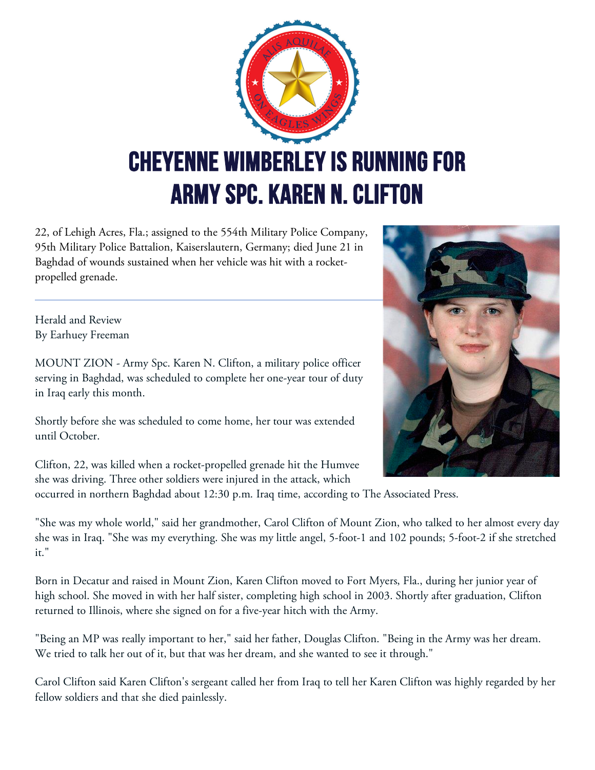

22, of Lehigh Acres, Fla.; assigned to the 554th Military Police Company, 95th Military Police Battalion, Kaiserslautern, Germany; died June 21 in Baghdad of wounds sustained when her vehicle was hit with a rocketpropelled grenade.

Herald and Review By Earhuey Freeman

MOUNT ZION - Army Spc. Karen N. Clifton, a military police officer serving in Baghdad, was scheduled to complete her one-year tour of duty in Iraq early this month.

Shortly before she was scheduled to come home, her tour was extended until October.

Clifton, 22, was killed when a rocket-propelled grenade hit the Humvee she was driving. Three other soldiers were injured in the attack, which

occurred in northern Baghdad about 12:30 p.m. Iraq time, according to The Associated Press.

"She was my whole world," said her grandmother, Carol Clifton of Mount Zion, who talked to her almost every day she was in Iraq. "She was my everything. She was my little angel, 5-foot-1 and 102 pounds; 5-foot-2 if she stretched it."

Born in Decatur and raised in Mount Zion, Karen Clifton moved to Fort Myers, Fla., during her junior year of high school. She moved in with her half sister, completing high school in 2003. Shortly after graduation, Clifton returned to Illinois, where she signed on for a five-year hitch with the Army.

"Being an MP was really important to her," said her father, Douglas Clifton. "Being in the Army was her dream. We tried to talk her out of it, but that was her dream, and she wanted to see it through."

Carol Clifton said Karen Clifton's sergeant called her from Iraq to tell her Karen Clifton was highly regarded by her fellow soldiers and that she died painlessly.

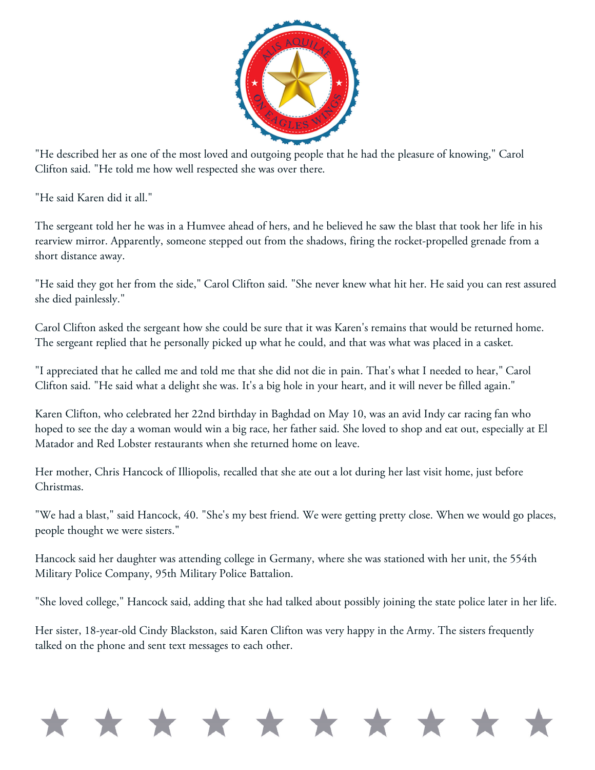

"He described her as one of the most loved and outgoing people that he had the pleasure of knowing," Carol Clifton said. "He told me how well respected she was over there.

"He said Karen did it all."

The sergeant told her he was in a Humvee ahead of hers, and he believed he saw the blast that took her life in his rearview mirror. Apparently, someone stepped out from the shadows, firing the rocket-propelled grenade from a short distance away.

"He said they got her from the side," Carol Clifton said. "She never knew what hit her. He said you can rest assured she died painlessly."

Carol Clifton asked the sergeant how she could be sure that it was Karen's remains that would be returned home. The sergeant replied that he personally picked up what he could, and that was what was placed in a casket.

"I appreciated that he called me and told me that she did not die in pain. That's what I needed to hear," Carol Clifton said. "He said what a delight she was. It's a big hole in your heart, and it will never be filled again."

Karen Clifton, who celebrated her 22nd birthday in Baghdad on May 10, was an avid Indy car racing fan who hoped to see the day a woman would win a big race, her father said. She loved to shop and eat out, especially at El Matador and Red Lobster restaurants when she returned home on leave.

Her mother, Chris Hancock of Illiopolis, recalled that she ate out a lot during her last visit home, just before Christmas.

"We had a blast," said Hancock, 40. "She's my best friend. We were getting pretty close. When we would go places, people thought we were sisters."

Hancock said her daughter was attending college in Germany, where she was stationed with her unit, the 554th Military Police Company, 95th Military Police Battalion.

"She loved college," Hancock said, adding that she had talked about possibly joining the state police later in her life.

Her sister, 18-year-old Cindy Blackston, said Karen Clifton was very happy in the Army. The sisters frequently talked on the phone and sent text messages to each other.